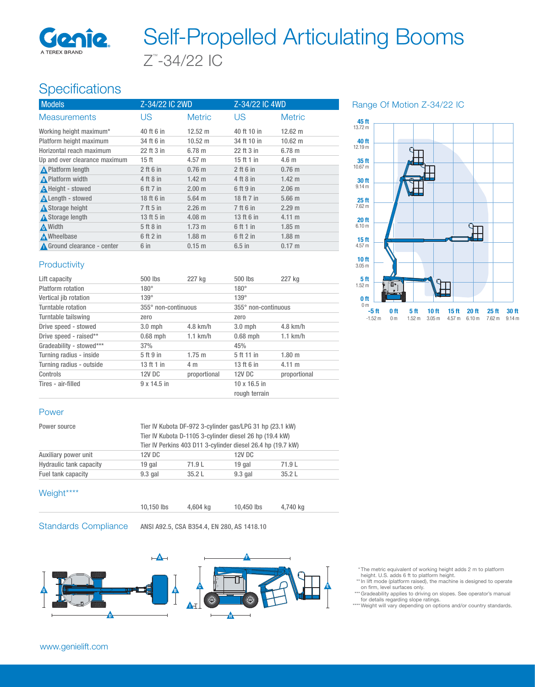

# Z™ -34/22 IC Self-Propelled Articulating Booms

## Specifications

| <b>Models</b>                 | Z-34/22 IC 2WD   |                   | Z-34/22 IC 4WD |                   |
|-------------------------------|------------------|-------------------|----------------|-------------------|
| <b>Measurements</b>           | US               | <b>Metric</b>     | US             | <b>Metric</b>     |
| Working height maximum*       | 40 ft 6 in       | $12.52 \text{ m}$ | 40 ft 10 in    | $12.62 \text{ m}$ |
| Platform height maximum       | 34 ft 6 in       | $10.52 \text{ m}$ | 34 ft 10 in    | $10.62 \text{ m}$ |
| Horizontal reach maximum      | 22 ft 3 in       | 6.78 m            | 22 ft 3 in     | 6.78 m            |
| Up and over clearance maximum | 15 <sub>ft</sub> | $4.57 \; m$       | 15 ft 1 in     | 4.6 <sub>m</sub>  |
| <b>A</b> Platform length      | $2$ ft 6 in      | $0.76$ m          | $2$ ft 6 in    | $0.76$ m          |
| A Platform width              | 4 ft 8 in        | $1.42 \text{ m}$  | 4 ft 8 in      | $1.42 \text{ m}$  |
| <b>A</b> Height - stowed      | 6 ft 7 in        | 2.00 m            | 6 ft 9 in      | $2.06 \; m$       |
| <b>A</b> Length - stowed      | 18 ft 6 in       | $5.64$ m          | 18 ft 7 in     | 5.66 <sub>m</sub> |
| <b>A</b> Storage height       | 7 ft 5 in        | 2.26 m            | 7 ft 6 in      | 2.29 m            |
| A Storage length              | 13 ft 5 in       | $4.08 \text{ m}$  | 13 ft 6 in     | $4.11 \text{ m}$  |
| A Width                       | 5 ft 8 in        | $1.73 \text{ m}$  | 6 ft 1 in      | $1.85$ m          |
| <b>A</b> Wheelbase            | 6 ft 2 in        | $1.88$ m          | 6 ft 2 in      | $1.88$ m          |
| Ground clearance - center     | 6 in             | 0.15 m            | $6.5$ in       | $0.17 \text{ m}$  |

Range Of Motion Z-34/22 IC



### **Productivity**

| Lift capacity            | 500 lbs             | 227 kg       | 500 lbs                              | 227 kg            |
|--------------------------|---------------------|--------------|--------------------------------------|-------------------|
| Platform rotation        | $180^\circ$         |              | $180^\circ$                          |                   |
| Vertical jib rotation    | $139^\circ$         |              | $139^\circ$                          |                   |
| Turntable rotation       | 355° non-continuous |              | 355° non-continuous                  |                   |
| Turntable tailswing      | zero                |              | zero                                 |                   |
| Drive speed - stowed     | $3.0$ mph           | $4.8$ km/h   | $3.0$ mph                            | $4.8$ km/h        |
| Drive speed - raised**   | $0.68$ mph          | $1.1$ km/h   | $0.68$ mph                           | $1.1$ km/h        |
| Gradeability - stowed*** | 37%                 |              | 45%                                  |                   |
| Turning radius - inside  | 5 ft 9 in           | $1.75 \; m$  | 5 ft 11 in                           | 1.80 <sub>m</sub> |
| Turning radius - outside | 13 ft 1 in          | 4 m          | 13 ft 6 in                           | $4.11 \text{ m}$  |
| Controls                 | 12V DC              | proportional | 12V DC                               | proportional      |
| Tires - air-filled       | $9 \times 14.5$ in  |              | $10 \times 16.5$ in<br>rough terrain |                   |

#### Power

| Power source                   |           | Tier IV Kubota DF-972 3-cylinder gas/LPG 31 hp (23.1 kW)                                                               |           |       |  |
|--------------------------------|-----------|------------------------------------------------------------------------------------------------------------------------|-----------|-------|--|
|                                |           | Tier IV Kubota D-1105 3-cylinder diesel 26 hp (19.4 kW)<br>Tier IV Perkins 403 D11 3-cylinder diesel 26.4 hp (19.7 kW) |           |       |  |
|                                |           |                                                                                                                        |           |       |  |
| Auxiliary power unit           | 12V DC    |                                                                                                                        | 12V DC    |       |  |
| <b>Hydraulic tank capacity</b> | 19 gal    | 71.9 L                                                                                                                 | 19 gal    | 71.9L |  |
| Fuel tank capacity             | $9.3$ gal | 35.2L                                                                                                                  | $9.3$ gal | 35.2L |  |
|                                |           |                                                                                                                        |           |       |  |

#### Weight\*\*\*\*

| 10,150 lbs | 4,604 kg | 10,450 lbs | 4,740 kg |
|------------|----------|------------|----------|
|            |          |            |          |

Standards Compliance ANSI A92.5, CSA B354.4, EN 280, AS 1418.10



\* The metric equivalent of working height adds 2 m to platform height. U.S. adds 6 ft to platform height.

- \*\* In lift mode (platform raised), the machine is designed to operate on firm, level surfaces only. \*\*\* Gradeability applies to driving on slopes. See operator's manual
- for details regarding slope ratings.

\*\*\*\* Weight will vary depending on options and/or country standards.